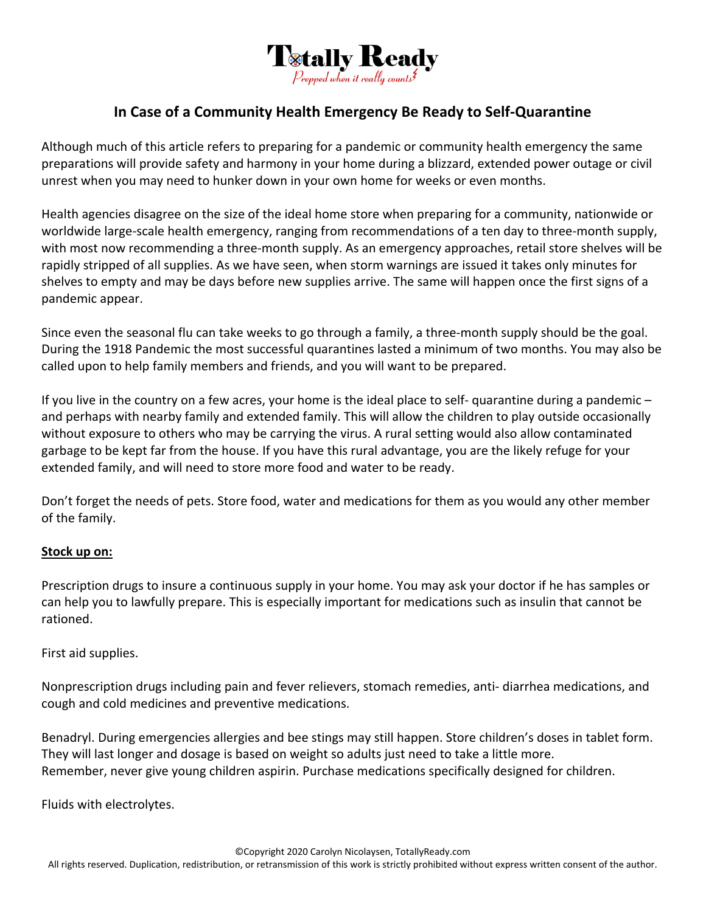

## **In Case of a Community Health Emergency Be Ready to Self‐Quarantine**

Although much of this article refers to preparing for a pandemic or community health emergency the same preparations will provide safety and harmony in your home during a blizzard, extended power outage or civil unrest when you may need to hunker down in your own home for weeks or even months.

Health agencies disagree on the size of the ideal home store when preparing for a community, nationwide or worldwide large-scale health emergency, ranging from recommendations of a ten day to three-month supply, with most now recommending a three-month supply. As an emergency approaches, retail store shelves will be rapidly stripped of all supplies. As we have seen, when storm warnings are issued it takes only minutes for shelves to empty and may be days before new supplies arrive. The same will happen once the first signs of a pandemic appear.

Since even the seasonal flu can take weeks to go through a family, a three‐month supply should be the goal. During the 1918 Pandemic the most successful quarantines lasted a minimum of two months. You may also be called upon to help family members and friends, and you will want to be prepared.

If you live in the country on a few acres, your home is the ideal place to self‐ quarantine during a pandemic – and perhaps with nearby family and extended family. This will allow the children to play outside occasionally without exposure to others who may be carrying the virus. A rural setting would also allow contaminated garbage to be kept far from the house. If you have this rural advantage, you are the likely refuge for your extended family, and will need to store more food and water to be ready.

Don't forget the needs of pets. Store food, water and medications for them as you would any other member of the family.

## **Stock up on:**

Prescription drugs to insure a continuous supply in your home. You may ask your doctor if he has samples or can help you to lawfully prepare. This is especially important for medications such as insulin that cannot be rationed.

First aid supplies.

Nonprescription drugs including pain and fever relievers, stomach remedies, anti‐ diarrhea medications, and cough and cold medicines and preventive medications.

Benadryl. During emergencies allergies and bee stings may still happen. Store children's doses in tablet form. They will last longer and dosage is based on weight so adults just need to take a little more. Remember, never give young children aspirin. Purchase medications specifically designed for children.

Fluids with electrolytes.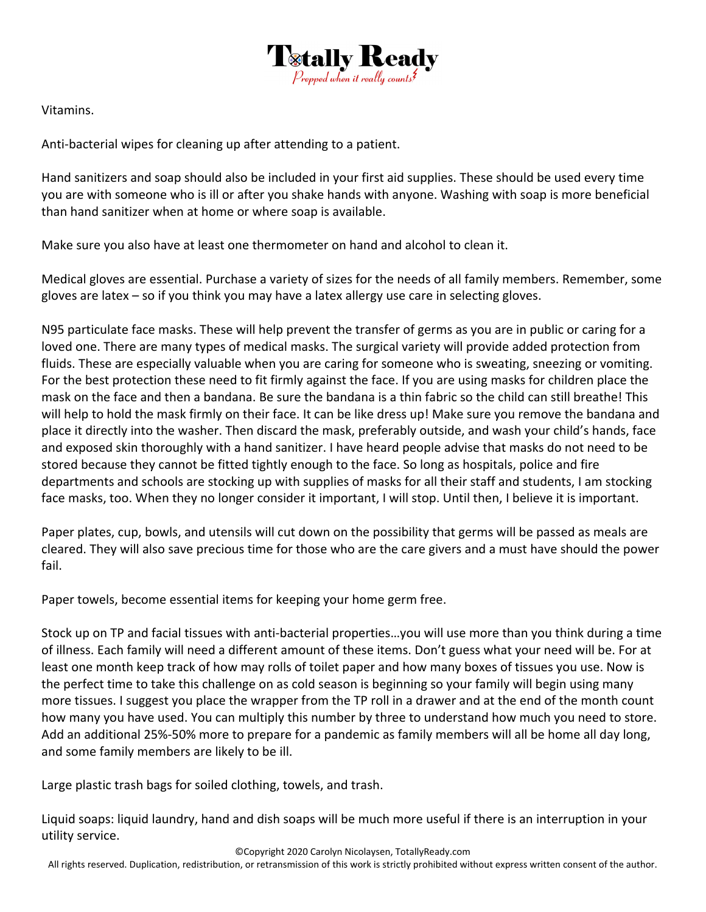

Vitamins.

Anti-bacterial wipes for cleaning up after attending to a patient.

Hand sanitizers and soap should also be included in your first aid supplies. These should be used every time you are with someone who is ill or after you shake hands with anyone. Washing with soap is more beneficial than hand sanitizer when at home or where soap is available.

Make sure you also have at least one thermometer on hand and alcohol to clean it.

Medical gloves are essential. Purchase a variety of sizes for the needs of all family members. Remember, some gloves are latex – so if you think you may have a latex allergy use care in selecting gloves.

N95 particulate face masks. These will help prevent the transfer of germs as you are in public or caring for a loved one. There are many types of medical masks. The surgical variety will provide added protection from fluids. These are especially valuable when you are caring for someone who is sweating, sneezing or vomiting. For the best protection these need to fit firmly against the face. If you are using masks for children place the mask on the face and then a bandana. Be sure the bandana is a thin fabric so the child can still breathe! This will help to hold the mask firmly on their face. It can be like dress up! Make sure you remove the bandana and place it directly into the washer. Then discard the mask, preferably outside, and wash your child's hands, face and exposed skin thoroughly with a hand sanitizer. I have heard people advise that masks do not need to be stored because they cannot be fitted tightly enough to the face. So long as hospitals, police and fire departments and schools are stocking up with supplies of masks for all their staff and students, I am stocking face masks, too. When they no longer consider it important, I will stop. Until then, I believe it is important.

Paper plates, cup, bowls, and utensils will cut down on the possibility that germs will be passed as meals are cleared. They will also save precious time for those who are the care givers and a must have should the power fail.

Paper towels, become essential items for keeping your home germ free.

Stock up on TP and facial tissues with anti‐bacterial properties…you will use more than you think during a time of illness. Each family will need a different amount of these items. Don't guess what your need will be. For at least one month keep track of how may rolls of toilet paper and how many boxes of tissues you use. Now is the perfect time to take this challenge on as cold season is beginning so your family will begin using many more tissues. I suggest you place the wrapper from the TP roll in a drawer and at the end of the month count how many you have used. You can multiply this number by three to understand how much you need to store. Add an additional 25%‐50% more to prepare for a pandemic as family members will all be home all day long, and some family members are likely to be ill.

Large plastic trash bags for soiled clothing, towels, and trash.

Liquid soaps: liquid laundry, hand and dish soaps will be much more useful if there is an interruption in your utility service.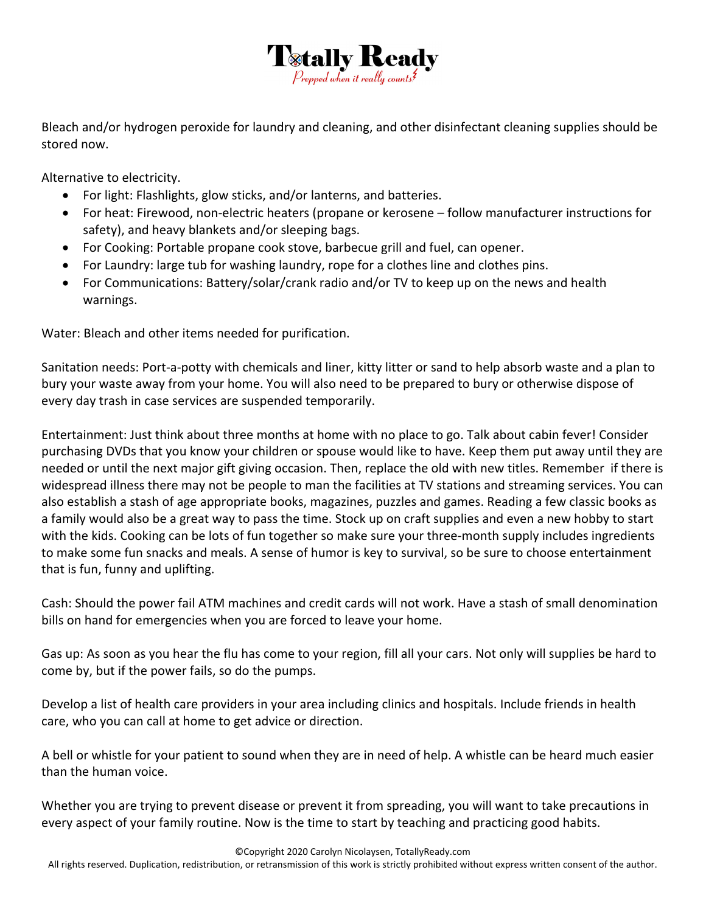

Bleach and/or hydrogen peroxide for laundry and cleaning, and other disinfectant cleaning supplies should be stored now.

Alternative to electricity.

- For light: Flashlights, glow sticks, and/or lanterns, and batteries.
- For heat: Firewood, non‐electric heaters (propane or kerosene follow manufacturer instructions for safety), and heavy blankets and/or sleeping bags.
- For Cooking: Portable propane cook stove, barbecue grill and fuel, can opener.
- For Laundry: large tub for washing laundry, rope for a clothes line and clothes pins.
- For Communications: Battery/solar/crank radio and/or TV to keep up on the news and health warnings.

Water: Bleach and other items needed for purification.

Sanitation needs: Port‐a‐potty with chemicals and liner, kitty litter or sand to help absorb waste and a plan to bury your waste away from your home. You will also need to be prepared to bury or otherwise dispose of every day trash in case services are suspended temporarily.

Entertainment: Just think about three months at home with no place to go. Talk about cabin fever! Consider purchasing DVDs that you know your children or spouse would like to have. Keep them put away until they are needed or until the next major gift giving occasion. Then, replace the old with new titles. Remember if there is widespread illness there may not be people to man the facilities at TV stations and streaming services. You can also establish a stash of age appropriate books, magazines, puzzles and games. Reading a few classic books as a family would also be a great way to pass the time. Stock up on craft supplies and even a new hobby to start with the kids. Cooking can be lots of fun together so make sure your three-month supply includes ingredients to make some fun snacks and meals. A sense of humor is key to survival, so be sure to choose entertainment that is fun, funny and uplifting.

Cash: Should the power fail ATM machines and credit cards will not work. Have a stash of small denomination bills on hand for emergencies when you are forced to leave your home.

Gas up: As soon as you hear the flu has come to your region, fill all your cars. Not only will supplies be hard to come by, but if the power fails, so do the pumps.

Develop a list of health care providers in your area including clinics and hospitals. Include friends in health care, who you can call at home to get advice or direction.

A bell or whistle for your patient to sound when they are in need of help. A whistle can be heard much easier than the human voice.

Whether you are trying to prevent disease or prevent it from spreading, you will want to take precautions in every aspect of your family routine. Now is the time to start by teaching and practicing good habits.

©Copyright 2020 Carolyn Nicolaysen, TotallyReady.com

All rights reserved. Duplication, redistribution, or retransmission of this work is strictly prohibited without express written consent of the author.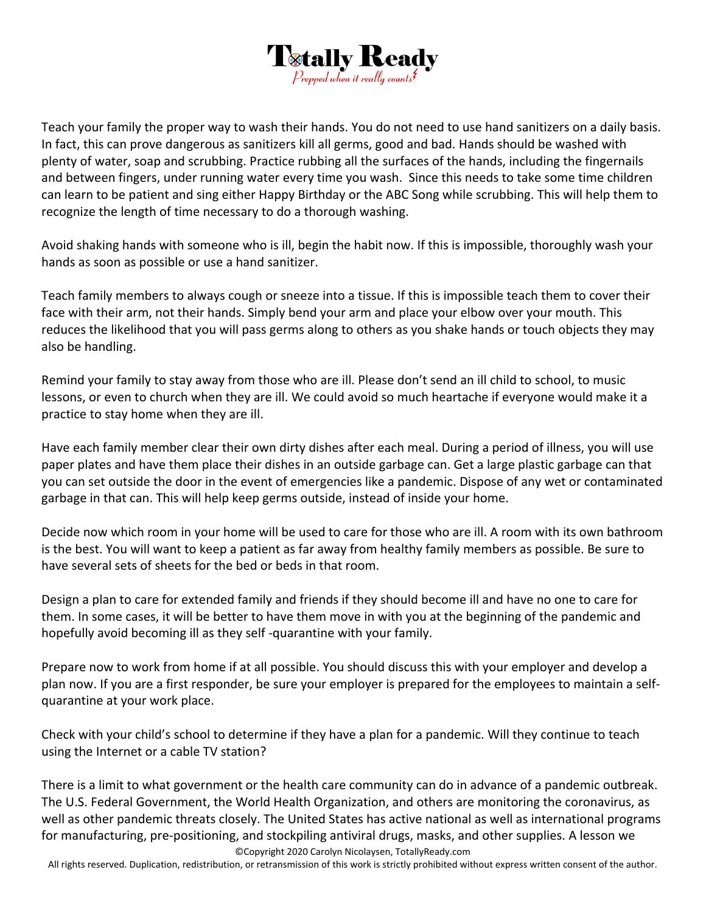

Teach your family the proper way to wash their hands. You do not need to use hand sanitizers on a daily basis. In fact, this can prove dangerous as sanitizers kill all germs, good and bad. Hands should be washed with plenty of water, soap and scrubbing. Practice rubbing all the surfaces of the hands, including the fingernails and between fingers, under running water every time you wash. Since this needs to take some time children can learn to be patient and sing either Happy Birthday or the ABC Song while scrubbing. This will help them to recognize the length of time necessary to do a thorough washing.

Avoid shaking hands with someone who is ill, begin the habit now. If this is impossible, thoroughly wash your hands as soon as possible or use a hand sanitizer.

Teach family members to always cough or sneeze into a tissue. If this is impossible teach them to cover their face with their arm, not their hands. Simply bend your arm and place your elbow over your mouth. This reduces the likelihood that you will pass germs along to others as you shake hands or touch objects they may also be handling.

Remind your family to stay away from those who are ill. Please don't send an ill child to school, to music lessons, or even to church when they are ill. We could avoid so much heartache if everyone would make it a practice to stay home when they are ill.

Have each family member clear their own dirty dishes after each meal. During a period of illness, you will use paper plates and have them place their dishes in an outside garbage can. Get a large plastic garbage can that you can set outside the door in the event of emergencies like a pandemic. Dispose of any wet or contaminated garbage in that can. This will help keep germs outside, instead of inside your home.

Decide now which room in your home will be used to care for those who are ill. A room with its own bathroom is the best. You will want to keep a patient as far away from healthy family members as possible. Be sure to have several sets of sheets for the bed or beds in that room.

Design a plan to care for extended family and friends if they should become ill and have no one to care for them. In some cases, it will be better to have them move in with you at the beginning of the pandemic and hopefully avoid becoming ill as they self-quarantine with your family.

Prepare now to work from home if at all possible. You should discuss this with your employer and develop a plan now. If you are a first responder, be sure your employer is prepared for the employees to maintain a self‐ quarantine at your work place.

Check with your child's school to determine if they have a plan for a pandemic. Will they continue to teach using the Internet or a cable TV station?

©Copyright 2020 Carolyn Nicolaysen, TotallyReady.com There is a limit to what government or the health care community can do in advance of a pandemic outbreak. The U.S. Federal Government, the World Health Organization, and others are monitoring the coronavirus, as well as other pandemic threats closely. The United States has active national as well as international programs for manufacturing, pre-positioning, and stockpiling antiviral drugs, masks, and other supplies. A lesson we

All rights reserved. Duplication, redistribution, or retransmission of this work is strictly prohibited without express written consent of the author.